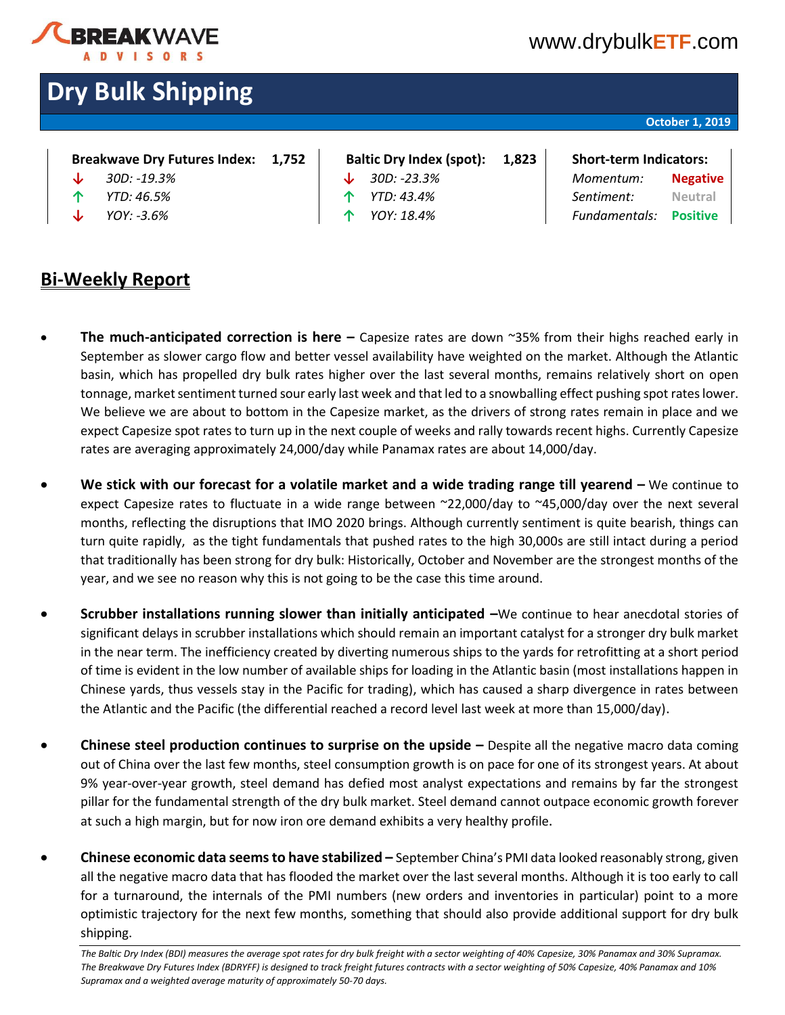

**Dry Bulk Shipping**

# [www.drybulk](http://www.drybulketf.com/)**ETF**.com

## **October 1, 2019**

| Breakwave Dry Futures Index: |  | 1,75 |
|------------------------------|--|------|
|                              |  |      |

- 
- 
- **↓** *YOY: -3.6%* **↑** *YOY: 18.4% Fundamentals:* **Positive**
- **Baltic Dry Index (spot): 1,823 | Short-term Indicators: ↓** *30D: -19.3%* **↓** *30D: -23.3% Momentum:* **Negative**
- **↑** *YTD: 46.5%* **↑** *YTD: 43.4% Sentiment:* **Neutral**
- **Bi-Weekly Report**
- **The much-anticipated correction is here –** Capesize rates are down ~35% from their highs reached early in September as slower cargo flow and better vessel availability have weighted on the market. Although the Atlantic basin, which has propelled dry bulk rates higher over the last several months, remains relatively short on open tonnage, market sentiment turned sour early last week and that led to a snowballing effect pushing spot rates lower. We believe we are about to bottom in the Capesize market, as the drivers of strong rates remain in place and we expect Capesize spot rates to turn up in the next couple of weeks and rally towards recent highs. Currently Capesize rates are averaging approximately 24,000/day while Panamax rates are about 14,000/day.
- **We stick with our forecast for a volatile market and a wide trading range till yearend –** We continue to expect Capesize rates to fluctuate in a wide range between ~22,000/day to ~45,000/day over the next several months, reflecting the disruptions that IMO 2020 brings. Although currently sentiment is quite bearish, things can turn quite rapidly, as the tight fundamentals that pushed rates to the high 30,000s are still intact during a period that traditionally has been strong for dry bulk: Historically, October and November are the strongest months of the year, and we see no reason why this is not going to be the case this time around.
- **Scrubber installations running slower than initially anticipated –**We continue to hear anecdotal stories of significant delays in scrubber installations which should remain an important catalyst for a stronger dry bulk market in the near term. The inefficiency created by diverting numerous ships to the yards for retrofitting at a short period of time is evident in the low number of available ships for loading in the Atlantic basin (most installations happen in Chinese yards, thus vessels stay in the Pacific for trading), which has caused a sharp divergence in rates between the Atlantic and the Pacific (the differential reached a record level last week at more than 15,000/day).
- **Chinese steel production continues to surprise on the upside –** Despite all the negative macro data coming out of China over the last few months, steel consumption growth is on pace for one of its strongest years. At about 9% year-over-year growth, steel demand has defied most analyst expectations and remains by far the strongest pillar for the fundamental strength of the dry bulk market. Steel demand cannot outpace economic growth forever at such a high margin, but for now iron ore demand exhibits a very healthy profile.
- **Chinese economic data seems to have stabilized –** September China's PMI data looked reasonably strong, given all the negative macro data that has flooded the market over the last several months. Although it is too early to call for a turnaround, the internals of the PMI numbers (new orders and inventories in particular) point to a more optimistic trajectory for the next few months, something that should also provide additional support for dry bulk shipping.

*The Baltic Dry Index (BDI) measures the average spot rates for dry bulk freight with a sector weighting of 40% Capesize, 30% Panamax and 30% Supramax. The Breakwave Dry Futures Index (BDRYFF) is designed to track freight futures contracts with a sector weighting of 50% Capesize, 40% Panamax and 10% Supramax and a weighted average maturity of approximately 50-70 days.*